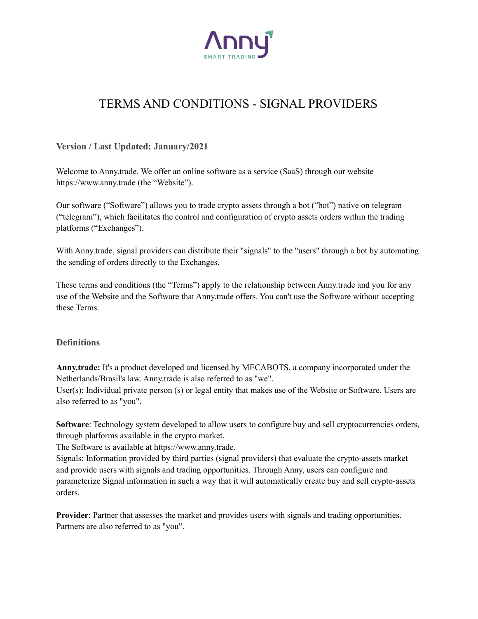

# TERMS AND CONDITIONS - SIGNAL PROVIDERS

**Version / Last Updated: January/2021**

Welcome to Anny.trade. We offer an online software as a service (SaaS) through our website https://www.anny.trade (the "Website").

Our software ("Software") allows you to trade crypto assets through a bot ("bot") native on telegram ("telegram"), which facilitates the control and configuration of crypto assets orders within the trading platforms ("Exchanges").

With Anny.trade, signal providers can distribute their "signals" to the "users" through a bot by automating the sending of orders directly to the Exchanges.

These terms and conditions (the "Terms") apply to the relationship between Anny.trade and you for any use of the Website and the Software that Anny.trade offers. You can't use the Software without accepting these Terms.

#### **Definitions**

**Anny.trade:** It's a product developed and licensed by MECABOTS, a company incorporated under the Netherlands/Brasil's law. Anny.trade is also referred to as "we".

User(s): Individual private person (s) or legal entity that makes use of the Website or Software. Users are also referred to as "you".

**Software:** Technology system developed to allow users to configure buy and sell cryptocurrencies orders, through platforms available in the crypto market.

The Software is available at https://www.anny.trade.

Signals: Information provided by third parties (signal providers) that evaluate the crypto-assets market and provide users with signals and trading opportunities. Through Anny, users can configure and parameterize Signal information in such a way that it will automatically create buy and sell crypto-assets orders.

**Provider**: Partner that assesses the market and provides users with signals and trading opportunities. Partners are also referred to as "you".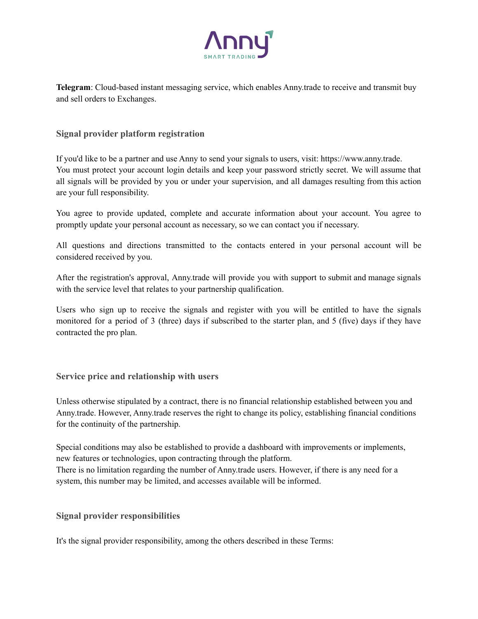

**Telegram**: Cloud-based instant messaging service, which enables Anny.trade to receive and transmit buy and sell orders to Exchanges.

#### **Signal provider platform registration**

If you'd like to be a partner and use Anny to send your signals to users, visit: https://www.anny.trade. You must protect your account login details and keep your password strictly secret. We will assume that all signals will be provided by you or under your supervision, and all damages resulting from this action are your full responsibility.

You agree to provide updated, complete and accurate information about your account. You agree to promptly update your personal account as necessary, so we can contact you if necessary.

All questions and directions transmitted to the contacts entered in your personal account will be considered received by you.

After the registration's approval, Anny.trade will provide you with support to submit and manage signals with the service level that relates to your partnership qualification.

Users who sign up to receive the signals and register with you will be entitled to have the signals monitored for a period of 3 (three) days if subscribed to the starter plan, and 5 (five) days if they have contracted the pro plan.

#### **Service price and relationship with users**

Unless otherwise stipulated by a contract, there is no financial relationship established between you and Anny.trade. However, Anny.trade reserves the right to change its policy, establishing financial conditions for the continuity of the partnership.

Special conditions may also be established to provide a dashboard with improvements or implements, new features or technologies, upon contracting through the platform. There is no limitation regarding the number of Anny.trade users. However, if there is any need for a system, this number may be limited, and accesses available will be informed.

## **Signal provider responsibilities**

It's the signal provider responsibility, among the others described in these Terms: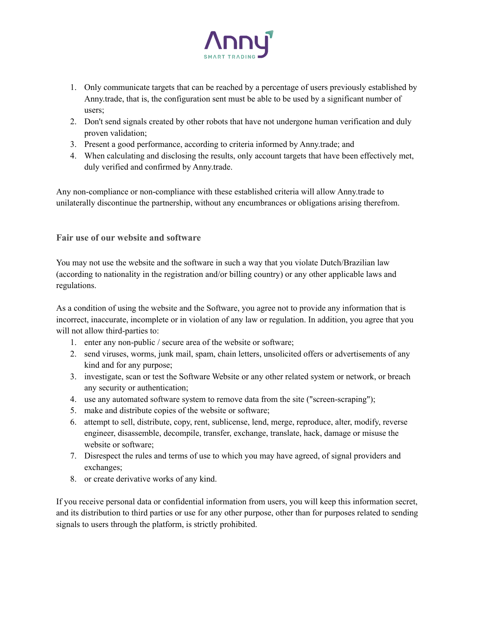

- 1. Only communicate targets that can be reached by a percentage of users previously established by Anny.trade, that is, the configuration sent must be able to be used by a significant number of users;
- 2. Don't send signals created by other robots that have not undergone human verification and duly proven validation;
- 3. Present a good performance, according to criteria informed by Anny.trade; and
- 4. When calculating and disclosing the results, only account targets that have been effectively met, duly verified and confirmed by Anny.trade.

Any non-compliance or non-compliance with these established criteria will allow Anny.trade to unilaterally discontinue the partnership, without any encumbrances or obligations arising therefrom.

## **Fair use of our website and software**

You may not use the website and the software in such a way that you violate Dutch/Brazilian law (according to nationality in the registration and/or billing country) or any other applicable laws and regulations.

As a condition of using the website and the Software, you agree not to provide any information that is incorrect, inaccurate, incomplete or in violation of any law or regulation. In addition, you agree that you will not allow third-parties to:

- 1. enter any non-public / secure area of the website or software;
- 2. send viruses, worms, junk mail, spam, chain letters, unsolicited offers or advertisements of any kind and for any purpose;
- 3. investigate, scan or test the Software Website or any other related system or network, or breach any security or authentication;
- 4. use any automated software system to remove data from the site ("screen-scraping");
- 5. make and distribute copies of the website or software;
- 6. attempt to sell, distribute, copy, rent, sublicense, lend, merge, reproduce, alter, modify, reverse engineer, disassemble, decompile, transfer, exchange, translate, hack, damage or misuse the website or software;
- 7. Disrespect the rules and terms of use to which you may have agreed, of signal providers and exchanges;
- 8. or create derivative works of any kind.

If you receive personal data or confidential information from users, you will keep this information secret, and its distribution to third parties or use for any other purpose, other than for purposes related to sending signals to users through the platform, is strictly prohibited.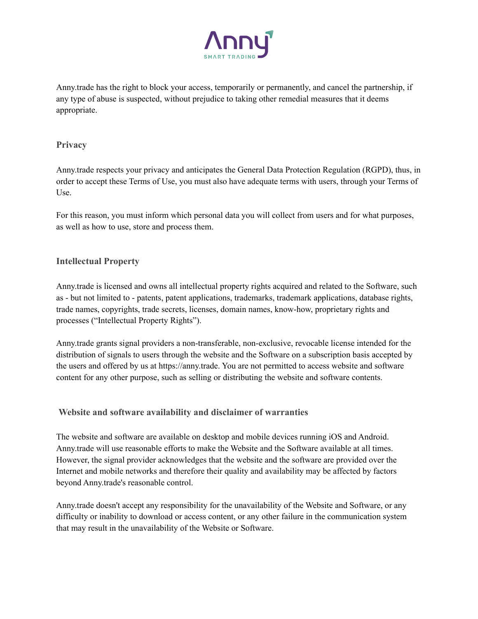

Anny.trade has the right to block your access, temporarily or permanently, and cancel the partnership, if any type of abuse is suspected, without prejudice to taking other remedial measures that it deems appropriate.

#### **Privacy**

Anny.trade respects your privacy and anticipates the General Data Protection Regulation (RGPD), thus, in order to accept these Terms of Use, you must also have adequate terms with users, through your Terms of Use.

For this reason, you must inform which personal data you will collect from users and for what purposes, as well as how to use, store and process them.

## **Intellectual Property**

Anny.trade is licensed and owns all intellectual property rights acquired and related to the Software, such as - but not limited to - patents, patent applications, trademarks, trademark applications, database rights, trade names, copyrights, trade secrets, licenses, domain names, know-how, proprietary rights and processes ("Intellectual Property Rights").

Anny.trade grants signal providers a non-transferable, non-exclusive, revocable license intended for the distribution of signals to users through the website and the Software on a subscription basis accepted by the users and offered by us at https://anny.trade. You are not permitted to access website and software content for any other purpose, such as selling or distributing the website and software contents.

## **Website and software availability and disclaimer of warranties**

The website and software are available on desktop and mobile devices running iOS and Android. Anny.trade will use reasonable efforts to make the Website and the Software available at all times. However, the signal provider acknowledges that the website and the software are provided over the Internet and mobile networks and therefore their quality and availability may be affected by factors beyond Anny.trade's reasonable control.

Anny.trade doesn't accept any responsibility for the unavailability of the Website and Software, or any difficulty or inability to download or access content, or any other failure in the communication system that may result in the unavailability of the Website or Software.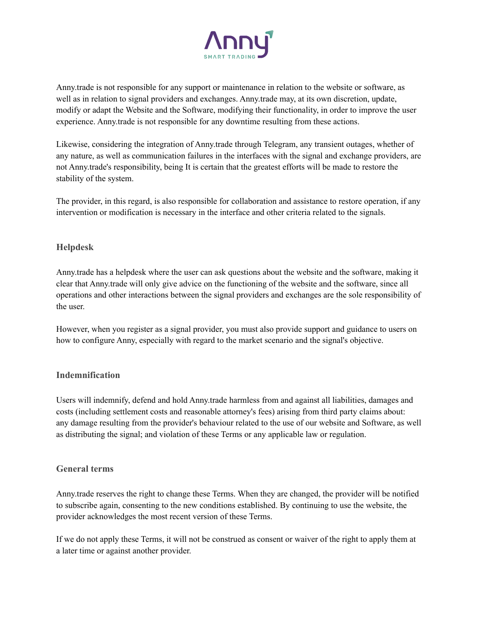

Anny.trade is not responsible for any support or maintenance in relation to the website or software, as well as in relation to signal providers and exchanges. Anny.trade may, at its own discretion, update, modify or adapt the Website and the Software, modifying their functionality, in order to improve the user experience. Anny.trade is not responsible for any downtime resulting from these actions.

Likewise, considering the integration of Anny.trade through Telegram, any transient outages, whether of any nature, as well as communication failures in the interfaces with the signal and exchange providers, are not Anny.trade's responsibility, being It is certain that the greatest efforts will be made to restore the stability of the system.

The provider, in this regard, is also responsible for collaboration and assistance to restore operation, if any intervention or modification is necessary in the interface and other criteria related to the signals.

## **Helpdesk**

Anny.trade has a helpdesk where the user can ask questions about the website and the software, making it clear that Anny.trade will only give advice on the functioning of the website and the software, since all operations and other interactions between the signal providers and exchanges are the sole responsibility of the user.

However, when you register as a signal provider, you must also provide support and guidance to users on how to configure Anny, especially with regard to the market scenario and the signal's objective.

#### **Indemnification**

Users will indemnify, defend and hold Anny.trade harmless from and against all liabilities, damages and costs (including settlement costs and reasonable attorney's fees) arising from third party claims about: any damage resulting from the provider's behaviour related to the use of our website and Software, as well as distributing the signal; and violation of these Terms or any applicable law or regulation.

#### **General terms**

Anny.trade reserves the right to change these Terms. When they are changed, the provider will be notified to subscribe again, consenting to the new conditions established. By continuing to use the website, the provider acknowledges the most recent version of these Terms.

If we do not apply these Terms, it will not be construed as consent or waiver of the right to apply them at a later time or against another provider.